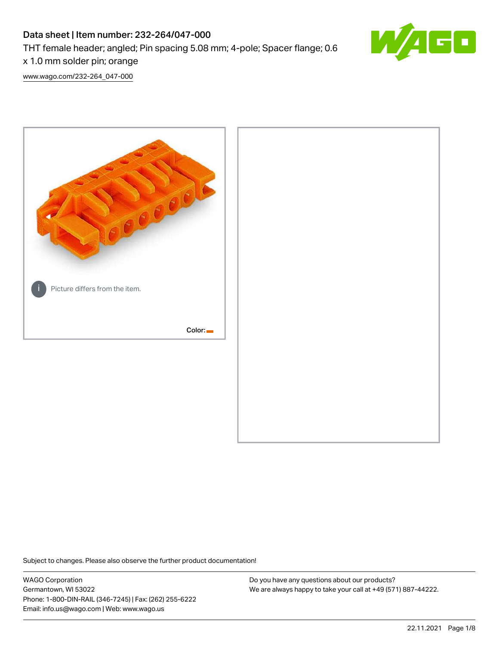# Data sheet | Item number: 232-264/047-000

THT female header; angled; Pin spacing 5.08 mm; 4-pole; Spacer flange; 0.6

x 1.0 mm solder pin; orange

[www.wago.com/232-264\\_047-000](http://www.wago.com/232-264_047-000)



Subject to changes. Please also observe the further product documentation!

WAGO Corporation Germantown, WI 53022 Phone: 1-800-DIN-RAIL (346-7245) | Fax: (262) 255-6222 Email: info.us@wago.com | Web: www.wago.us

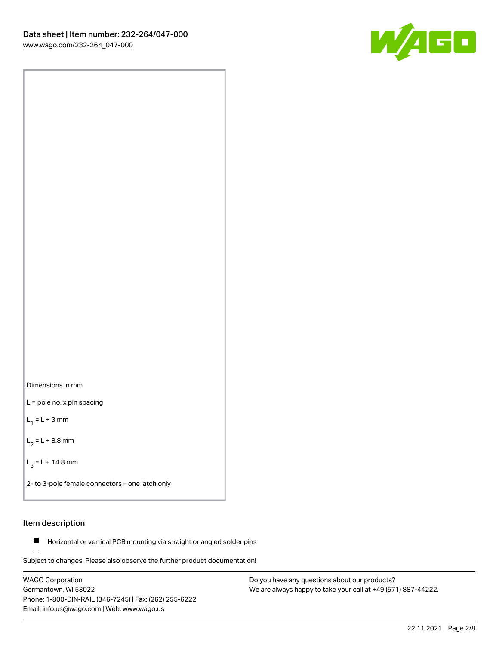

Dimensions in mm

L = pole no. x pin spacing

 $L_1 = L + 3$  mm

 $L_2 = L + 8.8$  mm

 $L_3 = L + 14.8$  mm

2- to 3-pole female connectors – one latch only

# Item description

**Horizontal or vertical PCB mounting via straight or angled solder pins** 

Subject to changes. Please also observe the further product documentation! For board-to-board and board-to-wire connections

WAGO Corporation Germantown, WI 53022 Phone: 1-800-DIN-RAIL (346-7245) | Fax: (262) 255-6222 Email: info.us@wago.com | Web: www.wago.us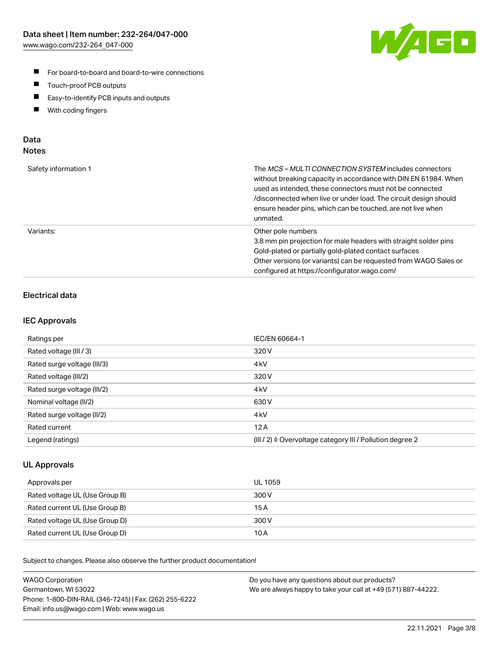

- For board-to-board and board-to-wire connections
- $\blacksquare$ Touch-proof PCB outputs
- $\blacksquare$ Easy-to-identify PCB inputs and outputs
- $\blacksquare$ With coding fingers

# Data **Notes**

| Safety information 1 | The <i>MCS – MULTI CONNECTION SYSTEM</i> includes connectors<br>without breaking capacity in accordance with DIN EN 61984. When<br>used as intended, these connectors must not be connected<br>/disconnected when live or under load. The circuit design should<br>ensure header pins, which can be touched, are not live when<br>unmated. |
|----------------------|--------------------------------------------------------------------------------------------------------------------------------------------------------------------------------------------------------------------------------------------------------------------------------------------------------------------------------------------|
| Variants:            | Other pole numbers<br>3.8 mm pin projection for male headers with straight solder pins<br>Gold-plated or partially gold-plated contact surfaces<br>Other versions (or variants) can be requested from WAGO Sales or<br>configured at https://configurator.wago.com/                                                                        |

# Electrical data

# IEC Approvals

| Ratings per                 | IEC/EN 60664-1                                                        |
|-----------------------------|-----------------------------------------------------------------------|
| Rated voltage (III / 3)     | 320 V                                                                 |
| Rated surge voltage (III/3) | 4 <sub>k</sub> V                                                      |
| Rated voltage (III/2)       | 320 V                                                                 |
| Rated surge voltage (III/2) | 4 <sub>k</sub> V                                                      |
| Nominal voltage (II/2)      | 630 V                                                                 |
| Rated surge voltage (II/2)  | 4 <sub>kV</sub>                                                       |
| Rated current               | 12A                                                                   |
| Legend (ratings)            | $(III / 2)$ $\triangle$ Overvoltage category III / Pollution degree 2 |

# UL Approvals

| Approvals per                  | UL 1059 |
|--------------------------------|---------|
| Rated voltage UL (Use Group B) | 300 V   |
| Rated current UL (Use Group B) | 15 A    |
| Rated voltage UL (Use Group D) | 300 V   |
| Rated current UL (Use Group D) | 10 A    |

Subject to changes. Please also observe the further product documentation!

| <b>WAGO Corporation</b>                                | Do you have any questions about our products?                 |
|--------------------------------------------------------|---------------------------------------------------------------|
| Germantown, WI 53022                                   | We are always happy to take your call at +49 (571) 887-44222. |
| Phone: 1-800-DIN-RAIL (346-7245)   Fax: (262) 255-6222 |                                                               |
| Email: info.us@wago.com   Web: www.wago.us             |                                                               |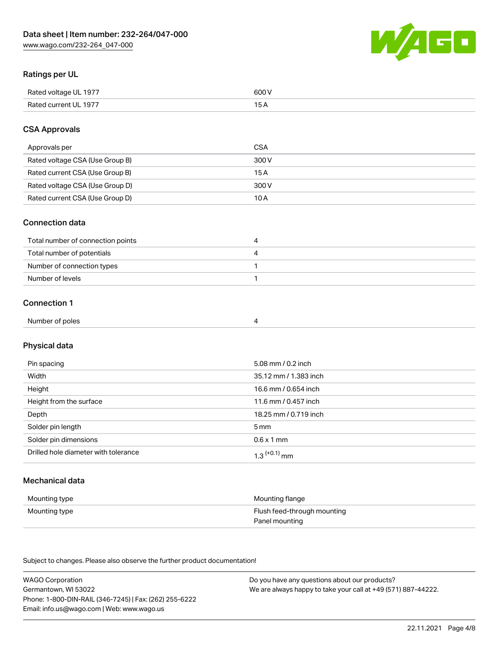

# Ratings per UL

| Rated voltage UL 1977 | 600 V |
|-----------------------|-------|
| Rated current UL 1977 |       |

# CSA Approvals

| Approvals per                   | <b>CSA</b> |
|---------------------------------|------------|
| Rated voltage CSA (Use Group B) | 300 V      |
| Rated current CSA (Use Group B) | 15 A       |
| Rated voltage CSA (Use Group D) | 300 V      |
| Rated current CSA (Use Group D) | 10 A       |

## Connection data

| Total number of connection points |  |
|-----------------------------------|--|
| Total number of potentials        |  |
| Number of connection types        |  |
| Number of levels                  |  |

## Connection 1

| Number of poles |  |
|-----------------|--|
|-----------------|--|

# Physical data

| Pin spacing                          | 5.08 mm / 0.2 inch         |
|--------------------------------------|----------------------------|
| Width                                | 35.12 mm / 1.383 inch      |
| Height                               | 16.6 mm / 0.654 inch       |
| Height from the surface              | 11.6 mm / 0.457 inch       |
| Depth                                | 18.25 mm / 0.719 inch      |
| Solder pin length                    | 5 mm                       |
| Solder pin dimensions                | $0.6 \times 1$ mm          |
| Drilled hole diameter with tolerance | $1.3$ <sup>(+0.1)</sup> mm |

# Mechanical data

| Mounting type | Mounting flange             |
|---------------|-----------------------------|
| Mounting type | Flush feed-through mounting |
|               | Panel mounting              |

Subject to changes. Please also observe the further product documentation!

| <b>WAGO Corporation</b>                                | Do you have any questions about our products?                 |
|--------------------------------------------------------|---------------------------------------------------------------|
| Germantown, WI 53022                                   | We are always happy to take your call at +49 (571) 887-44222. |
| Phone: 1-800-DIN-RAIL (346-7245)   Fax: (262) 255-6222 |                                                               |
| Email: info.us@wago.com   Web: www.wago.us             |                                                               |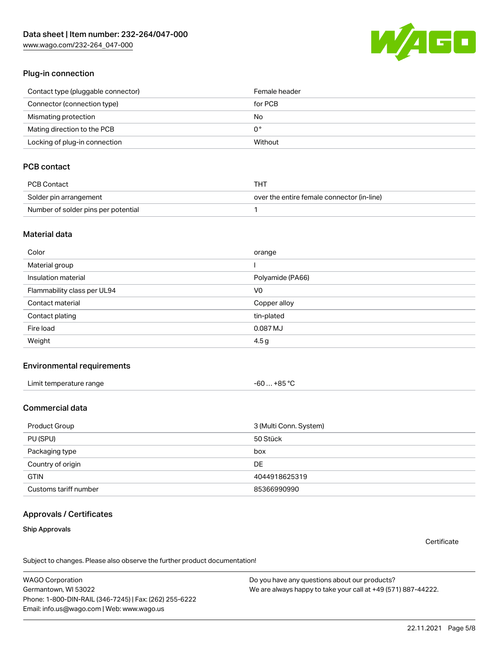[www.wago.com/232-264\\_047-000](http://www.wago.com/232-264_047-000)



# Plug-in connection

| Contact type (pluggable connector) | Female header |
|------------------------------------|---------------|
| Connector (connection type)        | for PCB       |
| Mismating protection               | No            |
| Mating direction to the PCB        | 0°            |
| Locking of plug-in connection      | Without       |

# PCB contact

| PCB Contact                         | THT                                        |
|-------------------------------------|--------------------------------------------|
| Solder pin arrangement              | over the entire female connector (in-line) |
| Number of solder pins per potential |                                            |

# Material data

| Color                       | orange           |
|-----------------------------|------------------|
| Material group              |                  |
| Insulation material         | Polyamide (PA66) |
| Flammability class per UL94 | V0               |
| Contact material            | Copper alloy     |
| Contact plating             | tin-plated       |
| Fire load                   | 0.087 MJ         |
| Weight                      | 4.5g             |

# Environmental requirements

| Limit temperature range | -60 … +85 °C |
|-------------------------|--------------|
|-------------------------|--------------|

# Commercial data

| Product Group         | 3 (Multi Conn. System) |
|-----------------------|------------------------|
| PU (SPU)              | 50 Stück               |
| Packaging type        | box                    |
| Country of origin     | DE                     |
| <b>GTIN</b>           | 4044918625319          |
| Customs tariff number | 85366990990            |

## Approvals / Certificates

# Ship Approvals

**Certificate** 

Subject to changes. Please also observe the further product documentation!

WAGO Corporation Germantown, WI 53022 Phone: 1-800-DIN-RAIL (346-7245) | Fax: (262) 255-6222 Email: info.us@wago.com | Web: www.wago.us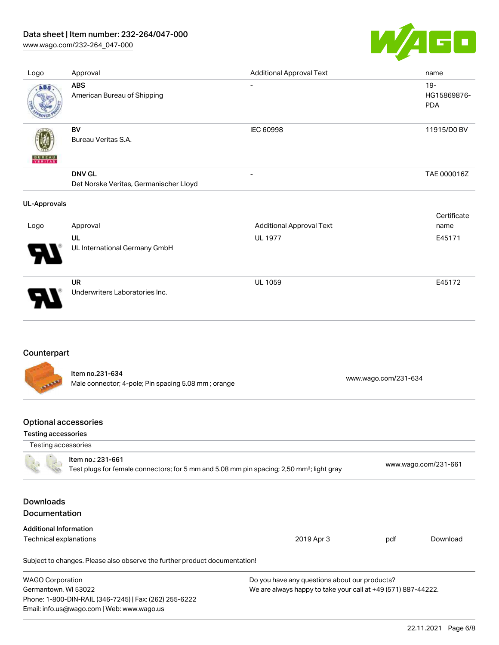# Data sheet | Item number: 232-264/047-000

[www.wago.com/232-264\\_047-000](http://www.wago.com/232-264_047-000)



| Logo                | Approval                                                | <b>Additional Approval Text</b> | name                               |
|---------------------|---------------------------------------------------------|---------------------------------|------------------------------------|
| ABS                 | <b>ABS</b><br>American Bureau of Shipping               | $\overline{\phantom{a}}$        | $19-$<br>HG15869876-<br><b>PDA</b> |
| <b>VERITAS</b>      | BV<br>Bureau Veritas S.A.                               | IEC 60998                       | 11915/D0 BV                        |
|                     | <b>DNV GL</b><br>Det Norske Veritas, Germanischer Lloyd |                                 | TAE 000016Z                        |
|                     |                                                         |                                 |                                    |
| <b>UL-Approvals</b> |                                                         |                                 |                                    |
| Logo                | Approval                                                | <b>Additional Approval Text</b> | Certificate<br>name                |
|                     | UL<br>UL International Germany GmbH                     | <b>UL 1977</b>                  | E45171                             |

# Counterpart

Item no.231-634 Nell 110.251-004<br>Male connector; 4-pole; Pin spacing 5.08 mm ; orange [www.wago.com/231-634](https://www.wago.com/231-634)

# Optional accessories

Email: info.us@wago.com | Web: www.wago.us

#### Testing accessories

| Testing accessories                                                                                                        |                                                                            |                                                               |                      |          |  |
|----------------------------------------------------------------------------------------------------------------------------|----------------------------------------------------------------------------|---------------------------------------------------------------|----------------------|----------|--|
| Item no.: 231-661<br>Test plugs for female connectors; for 5 mm and 5.08 mm pin spacing; 2,50 mm <sup>2</sup> ; light gray |                                                                            |                                                               | www.wago.com/231-661 |          |  |
| Downloads                                                                                                                  |                                                                            |                                                               |                      |          |  |
| <b>Documentation</b>                                                                                                       |                                                                            |                                                               |                      |          |  |
| <b>Additional Information</b>                                                                                              |                                                                            |                                                               |                      |          |  |
| Technical explanations                                                                                                     |                                                                            | 2019 Apr 3                                                    | pdf                  | Download |  |
|                                                                                                                            | Subject to changes. Please also observe the further product documentation! |                                                               |                      |          |  |
| <b>WAGO Corporation</b>                                                                                                    |                                                                            | Do you have any questions about our products?                 |                      |          |  |
| Germantown, WI 53022                                                                                                       |                                                                            | We are always happy to take your call at +49 (571) 887-44222. |                      |          |  |
|                                                                                                                            | Phone: 1-800-DIN-RAIL (346-7245)   Fax: (262) 255-6222                     |                                                               |                      |          |  |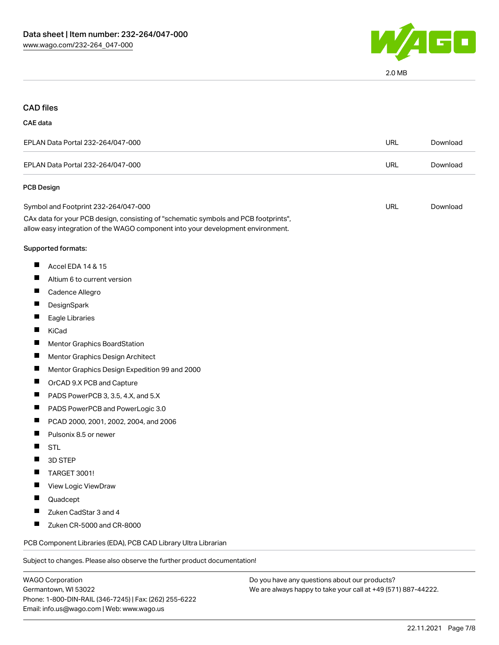

# CAD files

#### CAE data

| EPLAN Data Portal 232-264/047-000 | URL | Download |
|-----------------------------------|-----|----------|
| EPLAN Data Portal 232-264/047-000 | URL | Download |
| <b>PCB Design</b>                 |     |          |

Symbol and Footprint 232-264/047-000 CAx data for your PCB design, consisting of "schematic symbols and PCB footprints", allow easy integration of the WAGO component into your development environment. URL [Download](https://www.wago.com/global/d/UltraLibrarian_URLS_232-264_047-000)

#### Supported formats:

- $\blacksquare$ Accel EDA 14 & 15
- $\blacksquare$ Altium 6 to current version
- $\blacksquare$ Cadence Allegro
- $\blacksquare$ **DesignSpark**
- $\blacksquare$ Eagle Libraries
- $\blacksquare$ KiCad
- П Mentor Graphics BoardStation
- $\blacksquare$ Mentor Graphics Design Architect
- $\blacksquare$ Mentor Graphics Design Expedition 99 and 2000
- $\blacksquare$ OrCAD 9.X PCB and Capture
- $\blacksquare$ PADS PowerPCB 3, 3.5, 4.X, and 5.X
- $\blacksquare$ PADS PowerPCB and PowerLogic 3.0
- $\blacksquare$ PCAD 2000, 2001, 2002, 2004, and 2006
- $\blacksquare$ Pulsonix 8.5 or newer
- П **STL**
- $\blacksquare$ 3D STEP
- $\blacksquare$ TARGET 3001!
- П View Logic ViewDraw
- П Quadcept
- $\blacksquare$ Zuken CadStar 3 and 4
- $\blacksquare$ Zuken CR-5000 and CR-8000

PCB Component Libraries (EDA), PCB CAD Library Ultra Librarian

Subject to changes. Please also observe the further product documentation!